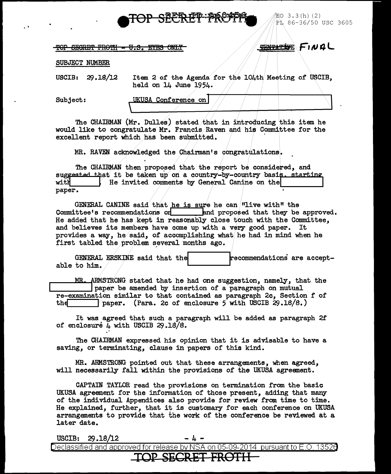

 $EO$  3.3(h)(2) PL 86-36/50 USC 3605

TOP SEGRET FROTH - U.S. EYES ONLY

**TENTATIVE FINAL** 

## SUBJECT NUMBER

29.18/12 **USCIB:** 

Item 2 of the Agenda for the 104th Meeting of USCIB. held on 14 June 1954.

Subject:

UKUSA Conference on

The CHAIRMAN (Mr. Dulles) stated that in introducing this item he would like to congratulate Mr. Francis Raven and his Committee for the excellent report which has been submitted.

MR. RAVEN acknowledged the Chairman's congratulations.

The CHAIRMAN then proposed that the report be considered, and suggested that it be taken up on a country-by-country basis, starting with He invited comments by General Canine on the paper.

GENERAL CANINE said that he is sure he can "live with" the Committee's recommendations on said proposed that they be approved. He added that he has kept in reasonably close touch with the Committee, and believes its members have come up with a very good paper. It provides a way, he said, of accomplishing what he had in mind when he first tabled the problem several months ago.

GENERAL ERSKINE said that the recommendations are acceptable to him.

MR. ARMSTRONG stated that he had one suggestion, namely, that the paper be amended by insertion of a paragraph on mutual re-examination similar to that contained as paragraph 2c, Section f of paper. (Para. 2c of enclosure 5 with USCIB  $29.18/8.$ ) the

It was agreed that such a paragraph will be added as paragraph 2f of enclosure 4 with USCIB  $29.18/8$ .

The CHAIRMAN expressed his opinion that it is advisable to have a saving, or terminating, clause in papers of this kind.

MR. ARMSTRONG pointed out that these arrangements, when agreed, will necessarily fall within the provisions of the UKUSA agreement.

CAPTAIN TAYLOR read the provisions on termination from the basic UKUSA agreement for the information of those present, adding that many of the individual Appendices also provide for review from time to time. He explained, further, that it is customary for each conference on UKUSA arrangements to provide that the work of the conference be reviewed at a later date.

| USCIB: $29.18/12$ |  | $- 4 -$ |                  |                                                                                           |  |
|-------------------|--|---------|------------------|-------------------------------------------------------------------------------------------|--|
|                   |  |         |                  | Declassified and approved for release by NSA on 05-09-2014 $\,$ pursuant to E.O. 1352 $0$ |  |
|                   |  |         | TOP SECRET FROTH |                                                                                           |  |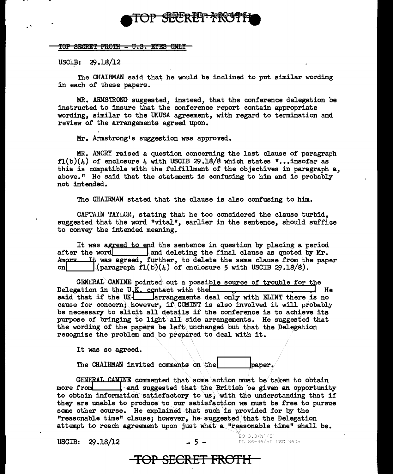

TOP SECRET FROTH - U.S. EYES ONLY

USCIB:  $29.18/12$ 

The CHAIRMAN said that he would be inclined to put similar wording in each of these papers.

MR. ARMSTRONG suggested, instead, that the conference delegation be instructed to insure that the conference report contain appropriate wording, similar to the UKUSA agreement, with regard to termination and review of the arrangements agreed upon.

Mr. Armstrong's suggestion was approved.

MR. AMORY raised a question concerning the last clause of paragraph  $f1(b)(h)$  of enclosure 4 with USCIB 29.18/8 which states "... insofar as this is compatible with the fulfillment of the objectives in paragraph a, above.<sup>"</sup> He said that the statement is confusing to him and is probably not intended.

The CHAIRMAN stated that the clause is also confusing to him.

CAPTAIN TAYLOR, stating that he too considered the clause turbid, suggested that the word "vital", earlier in the sentence, should suffice to convey the intended meaning.

It was agreed to end the sentence in question by placing a period<br>after the word<br>and deleting the final clause as quoted by Mr.<br>Amory. It was agreed, further, to delete the same clause from the paper<br>on  $\left(\frac{\text{maxmax}}{\text{maxmax}}\$  $\lceil$ (paragraph fl(b)(4) of enclosure 5 with USCIB 29.18/8).

GENERAL CANINE pointed out a possible source of trouble for the lation in the U.K. contact with the Delegation in the U.K. contact with the  $\Box$ said that if the  $UK$   $\Box$  arrangements deal only with ELINT there is no cause for concern; however, if CCMINT is also involved it will probably be necessary to elicit all details if the conference is to achieve its purpose of bringing to light all side arrangements. He suggested that the wording of the papers be left\ unchanged but that the Delegation recognize the problem and.be prepared to deal with it.

It was so agreed.

The CHAIRMAN invited comments on the  $\vert$  baper.

GENERAT. CANINE commented that some action must be taken to obtain more from sand suggested that the British be given an opportunity to obtain information satisfactory to us, with the understanding that if they are unable to produce to our satisfaction we must be free to pursue some other course. He explained that such is provided for by the "reasonable time" clause; however, he suggested that the Delegation attempt to reach agreement upon just what a "reasonable time" shall be.

 $USCIB: 29.18/12$ 

**TOP SECRET FROTH** 

 $EO$  3.3(h)(2) PL 86-36/50 USC 3605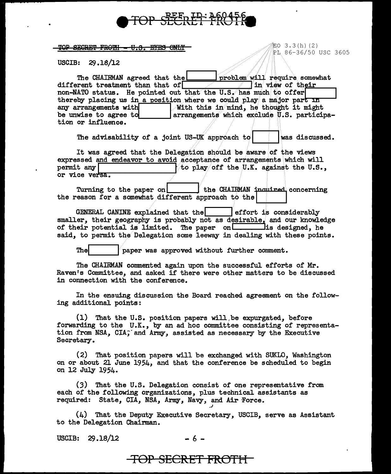

TOP SECRET FROTH - U.S. EYES ONLY

配O 3.3(h)(2) PL 86-36/50 USC 3605

USCIB:  $29.18/12$ 

The CHAIRMAN agreed that the problem will require somewhat different treatment than that of  $\Box$ I in view of their non-NATO status. He pointed out that the U.S. has much to offer thereby placing us in a position where we could play a major part  $\overline{nn}$ With this in mind, he thought it might any arrangements with<br>be unwise to agree to arrangements which exclude U.S. participation or influence.

The advisability of a joint US-UK approach to was discussed.

It was agreed that the Delegation should be aware of the views expressed and endeavor to avoid acceptance of arrangements which will permit any to play off the U.K. against the U.S.. or vice versa.

Turning to the paper on the CHAIRMAN inquired concerning the reason for a somewhat different approach to the

GENERAL CANINE explained that the effort is considerably smaller, their geography is probably not as desirable, and our knowledge of their potential is limited. The paper on the same is designed, he said, to permit the Delegation some leeway in dealing with these points.

The paper was approved without further comment.

The CHAIRMAN commented again upon the successful efforts of Mr. Raven's Committee, and asked if there were other matters to be discussed in connection with the conference.

In the ensuing discussion the Board reached agreement on the following additional points:

(1) That the U.S. position papers will be expurgated, before forwarding to the U.K., by an ad hoc committee consisting of representa-<br>tion from NSA, CIA, and Army, assisted as necessary by the Executive Secretary.

(2) That position papers will be exchanged with SUKLO. Washington on or about 21 June 1954, and that the conference be scheduled to begin on 12 July 1954.

(3) That the U.S. Delegation consist of one representative from each of the following organizations, plus technical assistants as required: State, CIA, NSA, Army, Navy, and Air Force.

 $(4)$  That the Deputy Executive Secretary, USCIB, serve as Assistant to the Delegation Chairman.

USCIB: 29.18/12

<del>TOP SECRET FROTH-</del>